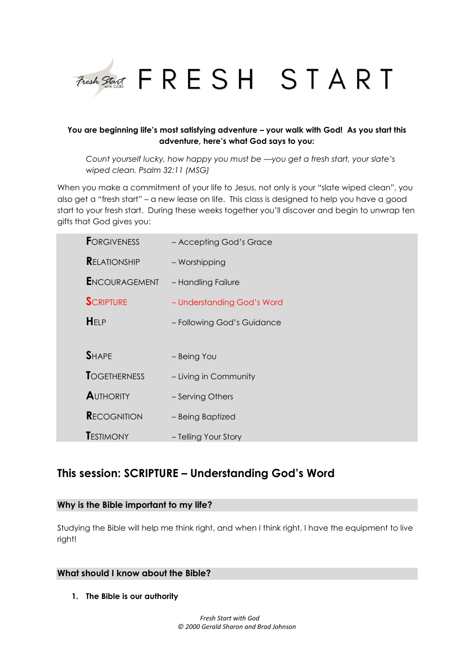

## **You are beginning life's most satisfying adventure – your walk with God! As you start this adventure, here's what God says to you:**

*Count yourself lucky, how happy you must be —you get a fresh start, your slate's wiped clean. Psalm 32:11 (MSG)*

When you make a commitment of your life to Jesus, not only is your "slate wiped clean", you also get a "fresh start" – a new lease on life. This class is designed to help you have a good start to your fresh start. During these weeks together you'll discover and begin to unwrap ten gifts that God gives you:

| <b>FORGIVENESS</b>   | - Accepting God's Grace    |
|----------------------|----------------------------|
| <b>RELATIONSHIP</b>  | - Worshipping              |
| <b>ENCOURAGEMENT</b> | - Handling Failure         |
| <b>SCRIPTURE</b>     | - Understanding God's Word |
| HELP                 | - Following God's Guidance |
|                      |                            |
| <b>SHAPE</b>         | - Being You                |
| <b>TOGETHERNESS</b>  | - Living in Community      |
| <b>AUTHORITY</b>     | - Serving Others           |
| <b>RECOGNITION</b>   | - Being Baptized           |
| <b>TESTIMONY</b>     | - Telling Your Story       |

# **This session: SCRIPTURE – Understanding God's Word**

## **Why is the Bible important to my life?**

Studying the Bible will help me think right, and when I think right, I have the equipment to live right!

# **What should I know about the Bible?**

**1. The Bible is our authority**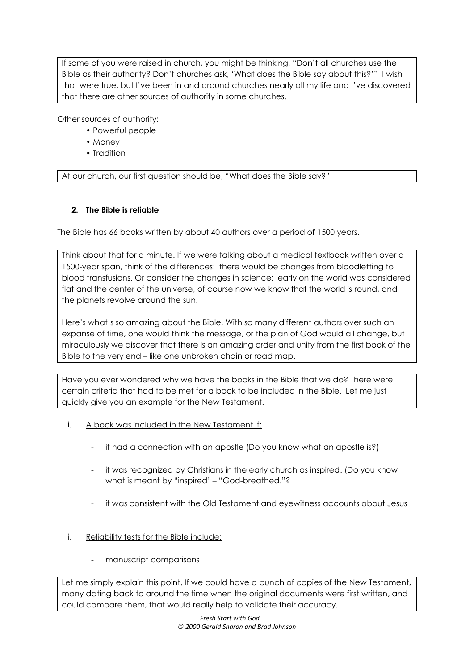If some of you were raised in church, you might be thinking, "Don't all churches use the Bible as their authority? Don't churches ask, 'What does the Bible say about this?'" I wish that were true, but I've been in and around churches nearly all my life and I've discovered that there are other sources of authority in some churches.

Other sources of authority:

- Powerful people
- Money
- Tradition

At our church, our first question should be, "What does the Bible say?"

## **2. The Bible is reliable**

The Bible has 66 books written by about 40 authors over a period of 1500 years.

Think about that for a minute. If we were talking about a medical textbook written over a 1500-year span, think of the differences: there would be changes from bloodletting to blood transfusions. Or consider the changes in science: early on the world was considered flat and the center of the universe, of course now we know that the world is round, and the planets revolve around the sun.

Here's what's so amazing about the Bible. With so many different authors over such an expanse of time, one would think the message, or the plan of God would all change, but miraculously we discover that there is an amazing order and unity from the first book of the Bible to the very end – like one unbroken chain or road map.

Have you ever wondered why we have the books in the Bible that we do? There were certain criteria that had to be met for a book to be included in the Bible. Let me just quickly give you an example for the New Testament.

- i. A book was included in the New Testament if:
	- it had a connection with an apostle (Do you know what an apostle is?)
	- it was recognized by Christians in the early church as inspired. (Do you know what is meant by "inspired' – "God-breathed."?
	- it was consistent with the Old Testament and eyewitness accounts about Jesus
- ii. Reliability tests for the Bible include:
	- manuscript comparisons

Let me simply explain this point. If we could have a bunch of copies of the New Testament, many dating back to around the time when the original documents were first written, and could compare them, that would really help to validate their accuracy.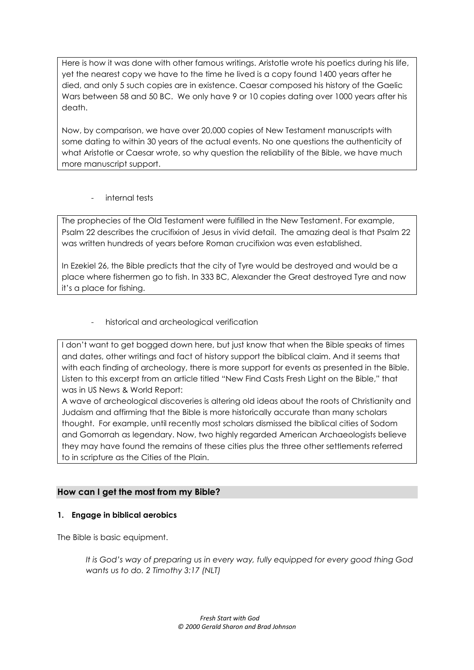Here is how it was done with other famous writings. Aristotle wrote his poetics during his life, yet the nearest copy we have to the time he lived is a copy found 1400 years after he died, and only 5 such copies are in existence. Caesar composed his history of the Gaelic Wars between 58 and 50 BC. We only have 9 or 10 copies dating over 1000 years after his death.

Now, by comparison, we have over 20,000 copies of New Testament manuscripts with some dating to within 30 years of the actual events. No one questions the authenticity of what Aristotle or Caesar wrote, so why question the reliability of the Bible, we have much more manuscript support.

internal tests

The prophecies of the Old Testament were fulfilled in the New Testament. For example, Psalm 22 describes the crucifixion of Jesus in vivid detail. The amazing deal is that Psalm 22 was written hundreds of years before Roman crucifixion was even established.

In Ezekiel 26, the Bible predicts that the city of Tyre would be destroyed and would be a place where fishermen go to fish. In 333 BC, Alexander the Great destroyed Tyre and now it's a place for fishing.

historical and archeological verification

I don't want to get bogged down here, but just know that when the Bible speaks of times and dates, other writings and fact of history support the biblical claim. And it seems that with each finding of archeology, there is more support for events as presented in the Bible. Listen to this excerpt from an article titled "New Find Casts Fresh Light on the Bible," that was in US News & World Report:

A wave of archeological discoveries is altering old ideas about the roots of Christianity and Judaism and affirming that the Bible is more historically accurate than many scholars thought. For example, until recently most scholars dismissed the biblical cities of Sodom and Gomorrah as legendary. Now, two highly regarded American Archaeologists believe they may have found the remains of these cities plus the three other settlements referred to in scripture as the Cities of the Plain.

# **How can I get the most from my Bible?**

# **1. Engage in biblical aerobics**

The Bible is basic equipment.

*It is God's way of preparing us in every way, fully equipped for every good thing God wants us to do. 2 Timothy 3:17 (NLT)*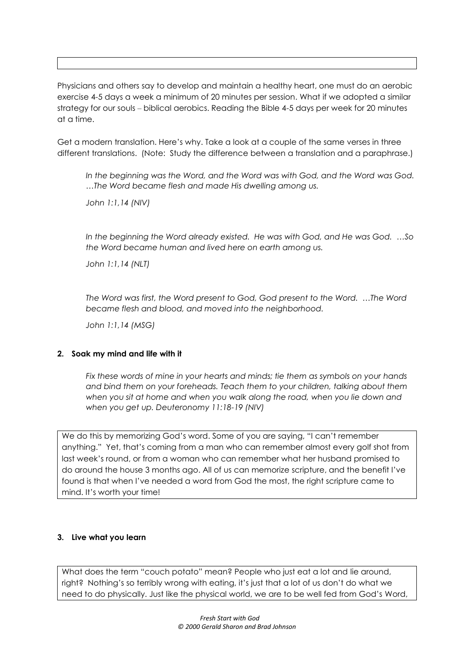Physicians and others say to develop and maintain a healthy heart, one must do an aerobic exercise 4-5 days a week a minimum of 20 minutes per session. What if we adopted a similar strategy for our souls – biblical aerobics. Reading the Bible 4-5 days per week for 20 minutes at a time.

Get a modern translation. Here's why. Take a look at a couple of the same verses in three different translations. (Note: Study the difference between a translation and a paraphrase.)

*In the beginning was the Word, and the Word was with God, and the Word was God. …The Word became flesh and made His dwelling among us.* 

*John 1:1,14 (NIV)*

*In the beginning the Word already existed. He was with God, and He was God. …So the Word became human and lived here on earth among us.* 

*John 1:1,14 (NLT)*

*The Word was first, the Word present to God, God present to the Word. …The Word became flesh and blood, and moved into the neighborhood.*

*John 1:1,14 (MSG)*

#### **2. Soak my mind and life with it**

*Fix these words of mine in your hearts and minds; tie them as symbols on your hands and bind them on your foreheads. Teach them to your children, talking about them when you sit at home and when you walk along the road, when you lie down and when you get up. Deuteronomy 11:18-19 (NIV)*

We do this by memorizing God's word. Some of you are saying, "I can't remember anything." Yet, that's coming from a man who can remember almost every golf shot from last week's round, or from a woman who can remember what her husband promised to do around the house 3 months ago. All of us can memorize scripture, and the benefit I've found is that when I've needed a word from God the most, the right scripture came to mind. It's worth your time!

#### **3. Live what you learn**

What does the term "couch potato" mean? People who just eat a lot and lie around, right? Nothing's so terribly wrong with eating, it's just that a lot of us don't do what we need to do physically. Just like the physical world, we are to be well fed from God's Word,